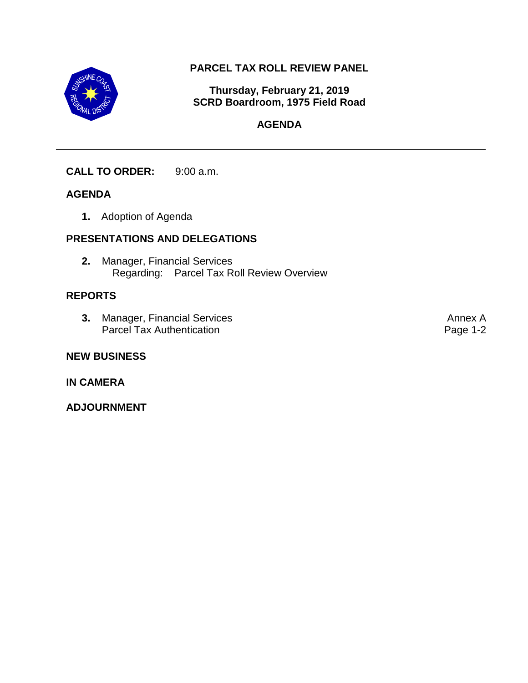

## **PARCEL TAX ROLL REVIEW PANEL**

**Thursday, February 21, 2019 SCRD Boardroom, 1975 Field Road**

## **AGENDA**

## **CALL TO ORDER:** 9:00 a.m.

## **AGENDA**

**1.** Adoption of Agenda

## **PRESENTATIONS AND DELEGATIONS**

**2.** Manager, Financial Services Regarding: Parcel Tax Roll Review Overview

## **REPORTS**

**3.** Manager, Financial Services Parcel Tax Authentication

### **NEW BUSINESS**

### **IN CAMERA**

**ADJOURNMENT**

Annex A Page 1-2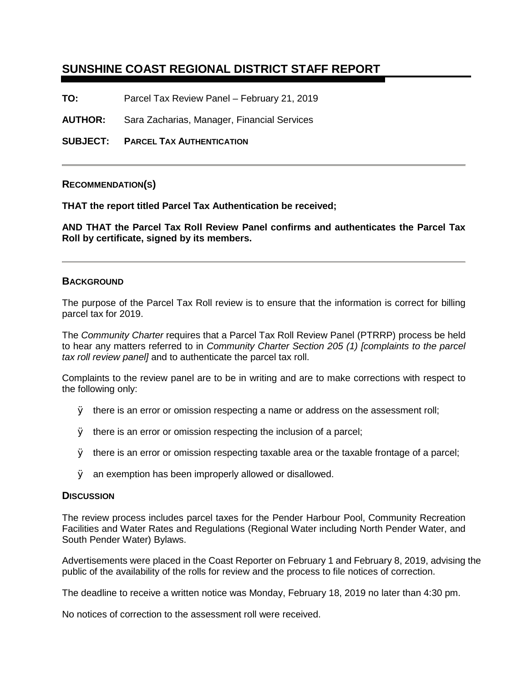## **SUNSHINE COAST REGIONAL DISTRICT STAFF REPORT**

**TO:** Parcel Tax Review Panel – February 21, 2019

**AUTHOR:** Sara Zacharias, Manager, Financial Services

**SUBJECT: PARCEL TAX AUTHENTICATION**

### **RECOMMENDATION(S)**

**THAT the report titled Parcel Tax Authentication be received;**

**AND THAT the Parcel Tax Roll Review Panel confirms and authenticates the Parcel Tax Roll by certificate, signed by its members.**

#### **BACKGROUND**

The purpose of the Parcel Tax Roll review is to ensure that the information is correct for billing parcel tax for 2019.

The *Community Charter* requires that a Parcel Tax Roll Review Panel (PTRRP) process be held to hear any matters referred to in *Community Charter Section 205 (1) [complaints to the parcel tax roll review panel]* and to authenticate the parcel tax roll.

Complaints to the review panel are to be in writing and are to make corrections with respect to the following only:

- Ø there is an error or omission respecting a name or address on the assessment roll;
- **Ø** there is an error or omission respecting the inclusion of a parcel;
- Ø there is an error or omission respecting taxable area or the taxable frontage of a parcel;
- **Ø** an exemption has been improperly allowed or disallowed.

#### **DISCUSSION**

The review process includes parcel taxes for the Pender Harbour Pool, Community Recreation Facilities and Water Rates and Regulations (Regional Water including North Pender Water, and South Pender Water) Bylaws.

Advertisements were placed in the Coast Reporter on February 1 and February 8, 2019, advising the public of the availability of the rolls for review and the process to file notices of correction.

The deadline to receive a written notice was Monday, February 18, 2019 no later than 4:30 pm.

No notices of correction to the assessment roll were received.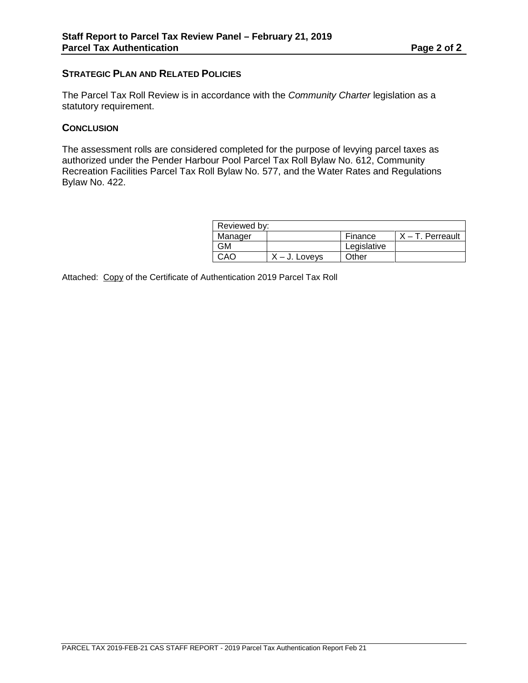### **STRATEGIC PLAN AND RELATED POLICIES**

The Parcel Tax Roll Review is in accordance with the *Community Charter* legislation as a statutory requirement.

### **CONCLUSION**

The assessment rolls are considered completed for the purpose of levying parcel taxes as authorized under the Pender Harbour Pool Parcel Tax Roll Bylaw No. 612, Community Recreation Facilities Parcel Tax Roll Bylaw No. 577, and the Water Rates and Regulations Bylaw No. 422.

| Reviewed by: |                  |             |                     |
|--------------|------------------|-------------|---------------------|
| Manager      |                  | Finance     | $X - T$ . Perreault |
| GМ           |                  | Legislative |                     |
| CAO          | $X - J$ . Lovevs | Other       |                     |

Attached: Copy of the Certificate of Authentication 2019 Parcel Tax Roll